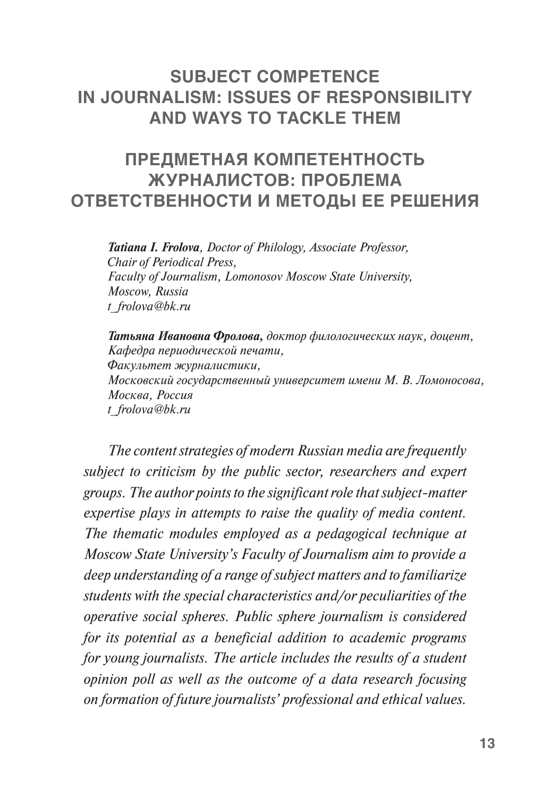## **SUBJECT COMPETENCE IN JOURNALISM: ISSUES OF RESPONSIBILITY AND WAYS TO TACKLE THEM**

## **ПРЕДМЕТНАЯ КОМПЕТЕНТНОСТЬ ЖУРНАЛИСТОВ: ПРОБЛЕМА ОТВЕТСТВЕННОСТИ И МЕТОДЫ ЕЕ РЕШЕНИЯ**

*Tatiana I. Frolova, Doctor of Philology, Associate Professor, Chair of Periodical Press, Faculty of Journalism, Lomonosov Moscow State University, Moscow, Russia [t\\_frolova@bk.ru](mailto:t_frolova@bk.ru)*

*Татьяна Ивановна Фролова, доктор филологических наук, доцент, Кафедра периодической печати, Факультет журналистики, Московский государственный университет имени М. В. Ломоносова, Москва, Россия [t\\_frolova@bk.ru](mailto:t_frolova@bk.ru)*

*The content strategies of modern Russian media are frequently subject to criticism by the public sector, researchers and expert groups. The author points to the significant role that subject-matter expertise plays in attempts to raise the quality of media content. The thematic modules employed as a pedagogical technique at Moscow State University's Faculty of Journalism aim to provide a deep understanding of a range of subject matters and to familiarize students with the special characteristics and/or peculiarities of the operative social spheres. Public sphere journalism is considered for its potential as a beneficial addition to academic programs for young journalists. The article includes the results of a student opinion poll as well as the outcome of a data research focusing on formation of future journalists' professional and ethical values.*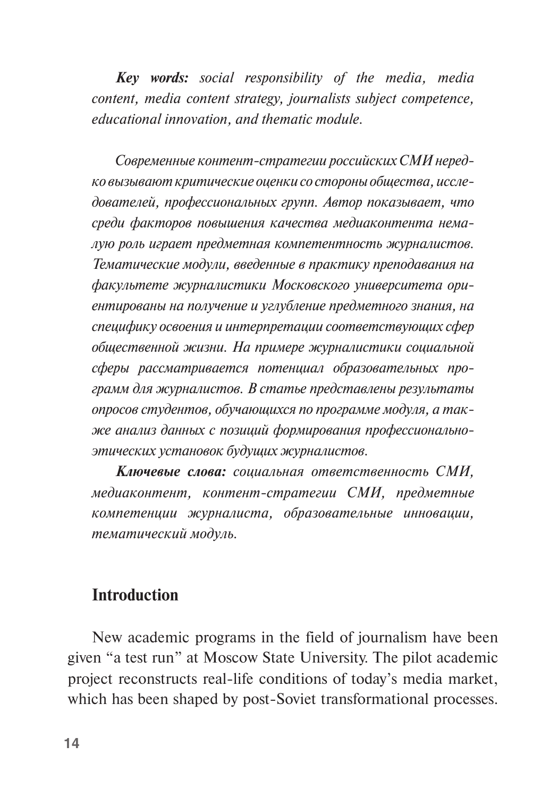*Key words: social responsibility of the media, media content, media content strategy, journalists subject competence, educational innovation, and thematic module.* 

*Современные контент-стратегии российских СМИ нередко вызывают критические оценки со стороны общества, исследователей, профессиональных групп. Автор показывает, что среди факторов повышения качества медиаконтента немалую роль играет предметная компетентность журналистов. Тематические модули, введенные в практику преподавания на факультете журналистики Московского университета ориентированы на получение и углубление предметного знания, на специфику освоения и интерпретации соответствующих сфер общественной жизни. На примере журналистики социальной сферы рассматривается потенциал образовательных программ для журналистов. В статье представлены результаты опросов студентов, обучающихся по программе модуля, а также анализ данных с позиций формирования профессиональноэтических установок будущих журналистов.* 

*Ключевые слова: социальная ответственность СМИ, медиаконтент, контент-стратегии СМИ, предметные компетенции журналиста, образовательные инновации, тематический модуль.* 

#### **Introduction**

New academic programs in the field of journalism have been given "a test run" at Moscow State University. The pilot academic project reconstructs real-life conditions of today's media market, which has been shaped by post-Soviet transformational processes.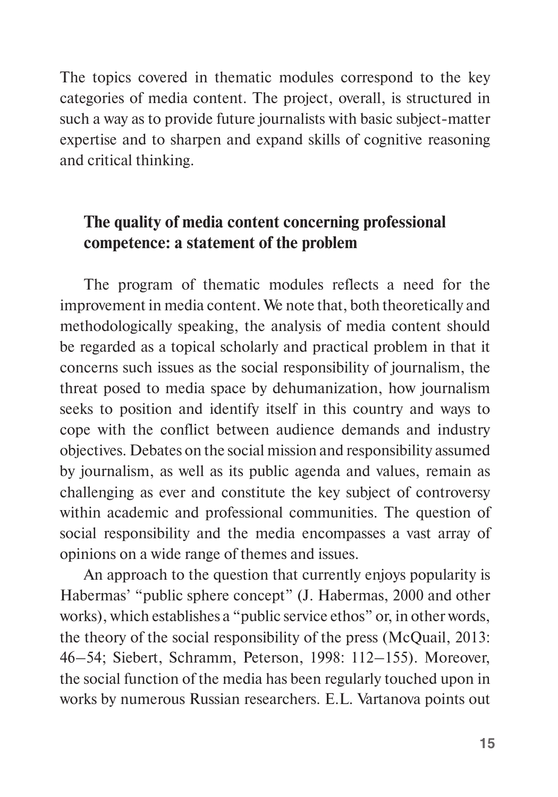The topics covered in thematic modules correspond to the key categories of media content. The project, overall, is structured in such a way as to provide future journalists with basic subject-matter expertise and to sharpen and expand skills of cognitive reasoning and critical thinking.

## **The quality of media content concerning professional competence: a statement of the problem**

The program of thematic modules reflects a need for the improvement in media content. We note that, both theoretically and methodologically speaking, the analysis of media content should be regarded as a topical scholarly and practical problem in that it concerns such issues as the social responsibility of journalism, the threat posed to media space by dehumanization, how journalism seeks to position and identify itself in this country and ways to cope with the conflict between audience demands and industry objectives. Debates on the social mission and responsibility assumed by journalism, as well as its public agenda and values, remain as challenging as ever and constitute the key subject of controversy within academic and professional communities. The question of social responsibility and the media encompasses a vast array of opinions on a wide range of themes and issues.

An approach to the question that currently enjoys popularity is Habermas' "public sphere concept" (J. Habermas, 2000 and other works), which establishes a "public service ethos" or, in other words, the theory of the social responsibility of the press (McQuail, 2013: 46–54; Siebert, Schramm, Peterson, 1998: 112–155). Moreover, the social function of the media has been regularly touched upon in works by numerous Russian researchers. E.L. Vartanova points out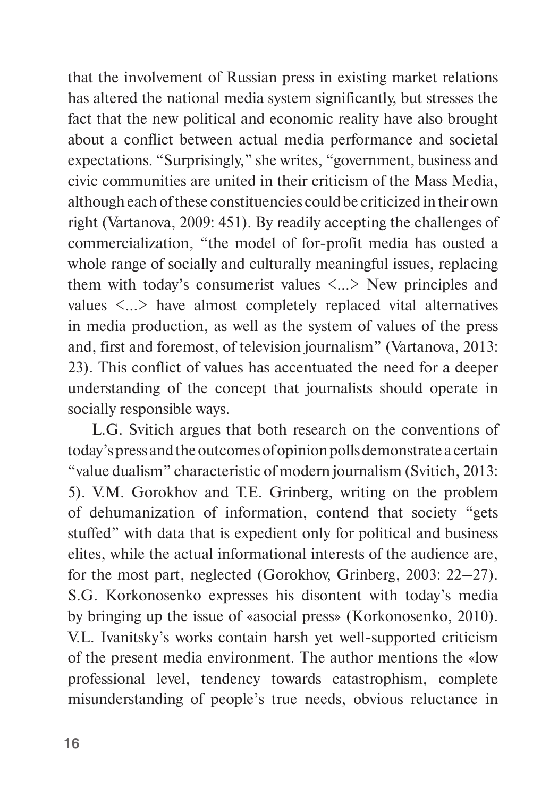that the involvement of Russian press in existing market relations has altered the national media system significantly, but stresses the fact that the new political and economic reality have also brought about a conflict between actual media performance and societal expectations. "Surprisingly," she writes, "government, business and civic communities are united in their criticism of the Mass Media, although each of these constituencies could be criticized in their own right (Vartanova, 2009: 451). By readily accepting the challenges of commercialization, "the model of for-profit media has ousted a whole range of socially and culturally meaningful issues, replacing them with today's consumerist values  $\langle \dots \rangle$  New principles and values <…> have almost completely replaced vital alternatives in media production, as well as the system of values of the press and, first and foremost, of television journalism" (Vartanova, 2013: 23). This conflict of values has accentuated the need for a deeper understanding of the concept that journalists should operate in socially responsible ways.

L.G. Svitich argues that both research on the conventions of today's press and the outcomes of opinion polls demonstrate a certain "value dualism" characteristic of modern journalism (Svitich, 2013: 5). V.M. Gorokhov and T.E. Grinberg, writing on the problem of dehumanization of information, contend that society "gets stuffed" with data that is expedient only for political and business elites, while the actual informational interests of the audience are, for the most part, neglected (Gorokhov, Grinberg, 2003: 22–27). S.G. Korkonosenko expresses his disontent with today's media by bringing up the issue of «asocial press» (Korkonosenko, 2010). V.L. Ivanitsky's works contain harsh yet well-supported criticism of the present media environment. The author mentions the «low professional level, tendency towards catastrophism, complete misunderstanding of people's true needs, obvious reluctance in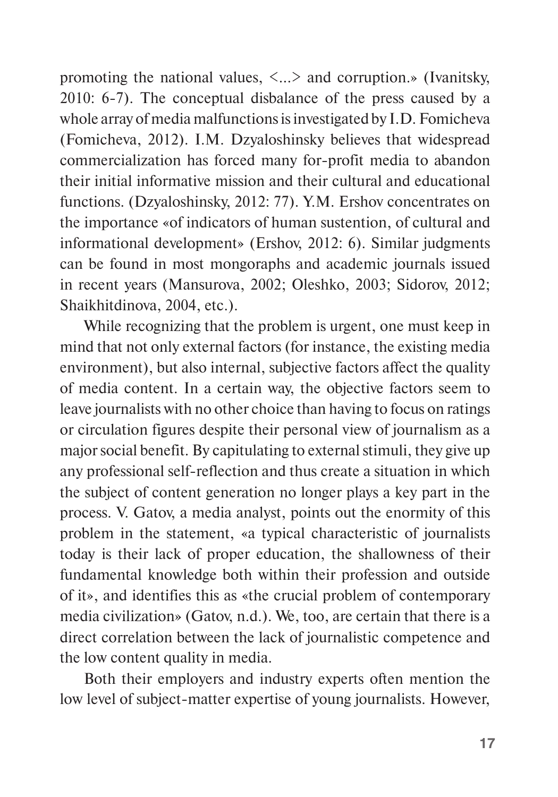promoting the national values,  $\langle \dots \rangle$  and corruption.» (Ivanitsky, 2010: 6-7). The conceptual disbalance of the press caused by a whole array of media malfunctions is investigated by I.D. Fomicheva (Fomicheva, 2012). I.M. Dzyaloshinsky believes that widespread commercialization has forced many for-profit media to abandon their initial informative mission and their cultural and educational functions. (Dzyaloshinsky, 2012: 77). Y.M. Ershov concentrates on the importance «of indicators of human sustention, of cultural and informational development» (Ershov, 2012: 6). Similar judgments can be found in most mongoraphs and academic journals issued in recent years (Mansurova, 2002; Oleshko, 2003; Sidorov, 2012; Shaikhitdinova, 2004, etc.).

While recognizing that the problem is urgent, one must keep in mind that not only external factors (for instance, the existing media environment), but also internal, subjective factors affect the quality of media content. In a certain way, the objective factors seem to leave journalists with no other choice than having to focus on ratings or circulation figures despite their personal view of journalism as a major social benefit. By capitulating to external stimuli, they give up any professional self-reflection and thus create a situation in which the subject of content generation no longer plays a key part in the process. V. Gatov, a media analyst, points out the enormity of this problem in the statement, «a typical characteristic of journalists today is their lack of proper education, the shallowness of their fundamental knowledge both within their profession and outside of it», and identifies this as «the crucial problem of contemporary media civilization» (Gatov, n.d.). We, too, are certain that there is a direct correlation between the lack of journalistic competence and the low content quality in media.

Both their employers and industry experts often mention the low level of subject-matter expertise of young journalists. However,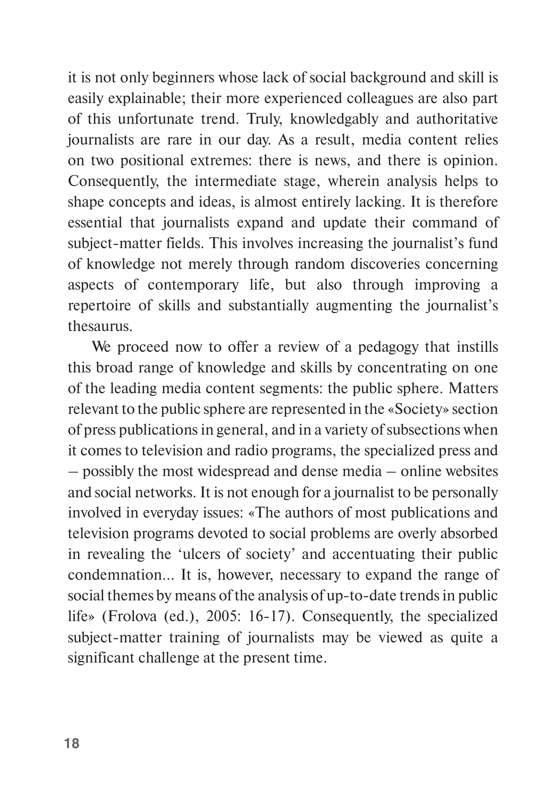it is not only beginners whose lack of social background and skill is easily explainable; their more experienced colleagues are also part of this unfortunate trend. Truly, knowledgably and authoritative journalists are rare in our day. As a result, media content relies on two positional extremes: there is news, and there is opinion. Consequently, the intermediate stage, wherein analysis helps to shape concepts and ideas, is almost entirely lacking. It is therefore essential that journalists expand and update their command of subject-matter fields. This involves increasing the journalist's fund of knowledge not merely through random discoveries concerning aspects of contemporary life, but also through improving a repertoire of skills and substantially augmenting the journalist's thesaurus.

We proceed now to offer a review of a pedagogy that instills this broad range of knowledge and skills by concentrating on one of the leading media content segments: the public sphere. Matters relevant to the public sphere are represented in the «Society» section of press publications in general, and in a variety of subsections when it comes to television and radio programs, the specialized press and – possibly the most widespread and dense media – online websites and social networks. It is not enough for a journalist to be personally involved in everyday issues: «The authors of most publications and television programs devoted to social problems are overly absorbed in revealing the 'ulcers of society' and accentuating their public condemnation... It is, however, necessary to expand the range of social themes by means of the analysis of up-to-date trends in public life» (Frolova (ed.), 2005: 16-17). Consequently, the specialized subject-matter training of journalists may be viewed as quite a significant challenge at the present time.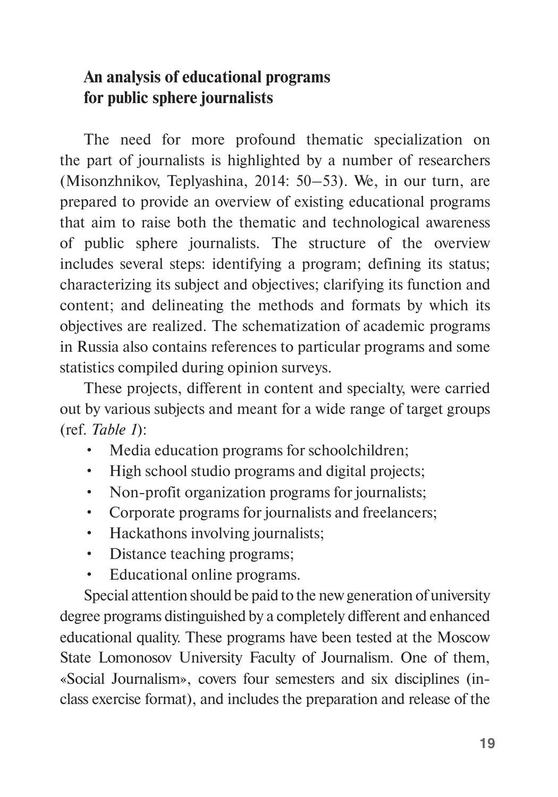## **An analysis of educational programs for public sphere journalists**

The need for more profound thematic specialization on the part of journalists is highlighted by a number of researchers (Misonzhnikov, Teplyashina, 2014: 50–53). We, in our turn, are prepared to provide an overview of existing educational programs that aim to raise both the thematic and technological awareness of public sphere journalists. The structure of the overview includes several steps: identifying a program; defining its status; characterizing its subject and objectives; clarifying its function and content; and delineating the methods and formats by which its objectives are realized. The schematization of academic programs in Russia also contains references to particular programs and some statistics compiled during opinion surveys.

These projects, different in content and specialty, were carried out by various subjects and meant for a wide range of target groups (ref. *Table 1*):

- Media education programs for schoolchildren;
- High school studio programs and digital projects;
- Non-profit organization programs for journalists;
- Corporate programs for journalists and freelancers;
- Hackathons involving journalists;
- Distance teaching programs;
- Educational online programs.

Special attention should be paid to the new generation of university degree programs distinguished by a completely different and enhanced educational quality. These programs have been tested at the Moscow State Lomonosov University Faculty of Journalism. One of them, «Social Journalism», covers four semesters and six disciplines (inclass exercise format), and includes the preparation and release of the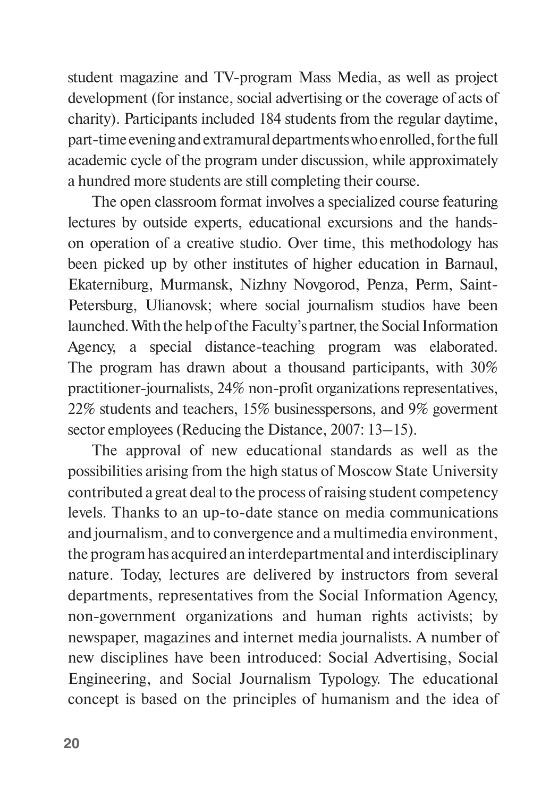student magazine and TV-program Mass Media, as well as project development (for instance, social advertising or the coverage of acts of charity). Participants included 184 students from the regular daytime, part-time evening and extramural departments who enrolled, for the full academic cycle of the program under discussion, while approximately a hundred more students are still completing their course.

The open classroom format involves a specialized course featuring lectures by outside experts, educational excursions and the handson operation of a creative studio. Over time, this methodology has been picked up by other institutes of higher education in Barnaul, Ekaterniburg, Murmansk, Nizhny Novgorod, Penza, Perm, Saint-Petersburg, Ulianovsk; where social journalism studios have been launched. With the help of the Faculty's partner, the Social Information Agency, a special distance-teaching program was elaborated. The program has drawn about a thousand participants, with 30% practitioner-journalists, 24% non-profit organizations representatives, 22% students and teachers, 15% businesspersons, and 9% goverment sector employees (Reducing the Distance, 2007: 13–15).

The approval of new educational standards as well as the possibilities arising from the high status of Moscow State University contributed a great deal to the process of raising student competency levels. Thanks to an up-to-date stance on media communications and journalism, and to convergence and a multimedia environment, the program has acquired an interdepartmental and interdisciplinary nature. Today, lectures are delivered by instructors from several departments, representatives from the Social Information Agency, non-government organizations and human rights activists; by newspaper, magazines and internet media journalists. A number of new disciplines have been introduced: Social Advertising, Social Engineering, and Social Journalism Typology. The educational concept is based on the principles of humanism and the idea of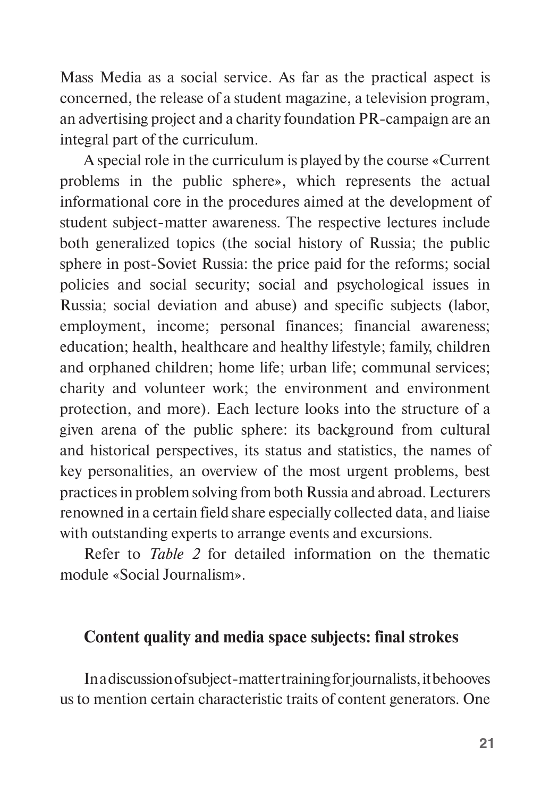Mass Media as a social service. As far as the practical aspect is concerned, the release of a student magazine, a television program, an advertising project and a charity foundation PR-campaign are an integral part of the curriculum.

A special role in the curriculum is played by the course «Current problems in the public sphere», which represents the actual informational core in the procedures aimed at the development of student subject-matter awareness. The respective lectures include both generalized topics (the social history of Russia; the public sphere in post-Soviet Russia: the price paid for the reforms; social policies and social security; social and psychological issues in Russia; social deviation and abuse) and specific subjects (labor, employment, income; personal finances; financial awareness; education; health, healthcare and healthy lifestyle; family, children and orphaned children; home life; urban life; communal services; charity and volunteer work; the environment and environment protection, and more). Each lecture looks into the structure of a given arena of the public sphere: its background from cultural and historical perspectives, its status and statistics, the names of key personalities, an overview of the most urgent problems, best practices in problem solving from both Russia and abroad. Lecturers renowned in a certain field share especially collected data, and liaise with outstanding experts to arrange events and excursions.

Refer to *Table 2* for detailed information on the thematic module «Social Journalism».

#### **Content quality and media space subjects: final strokes**

In a discussion of subject-matter training for journalists, it behooves us to mention certain characteristic traits of content generators. One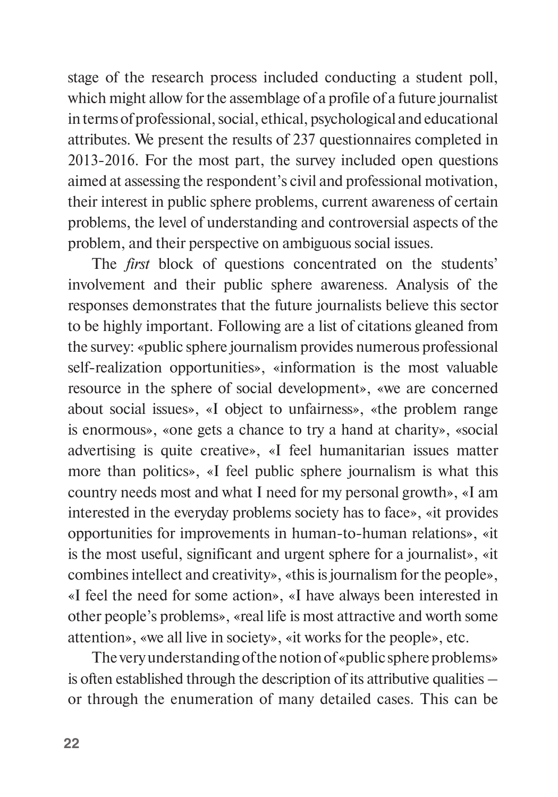stage of the research process included conducting a student poll, which might allow for the assemblage of a profile of a future journalist in terms of professional, social, ethical, psychological and educational attributes. We present the results of 237 questionnaires completed in 2013-2016. For the most part, the survey included open questions aimed at assessing the respondent's civil and professional motivation, their interest in public sphere problems, current awareness of certain problems, the level of understanding and controversial aspects of the problem, and their perspective on ambiguous social issues.

The *first* block of questions concentrated on the students' involvement and their public sphere awareness. Analysis of the responses demonstrates that the future journalists believe this sector to be highly important. Following are a list of citations gleaned from the survey: «public sphere journalism provides numerous professional self-realization opportunities», «information is the most valuable resource in the sphere of social development», «we are concerned about social issues», «I object to unfairness», «the problem range is enormous», «one gets a chance to try a hand at charity», «social advertising is quite creative», «I feel humanitarian issues matter more than politics», «I feel public sphere journalism is what this country needs most and what I need for my personal growth», «I am interested in the everyday problems society has to face», «it provides opportunities for improvements in human-to-human relations», «it is the most useful, significant and urgent sphere for a journalist», «it combines intellect and creativity», «this is journalism for the people», «I feel the need for some action», «I have always been interested in other people's problems», «real life is most attractive and worth some attention», «we all live in society», «it works for the people», etc.

The very understanding of the notion of «public sphere problems» is often established through the description of its attributive qualities – or through the enumeration of many detailed cases. This can be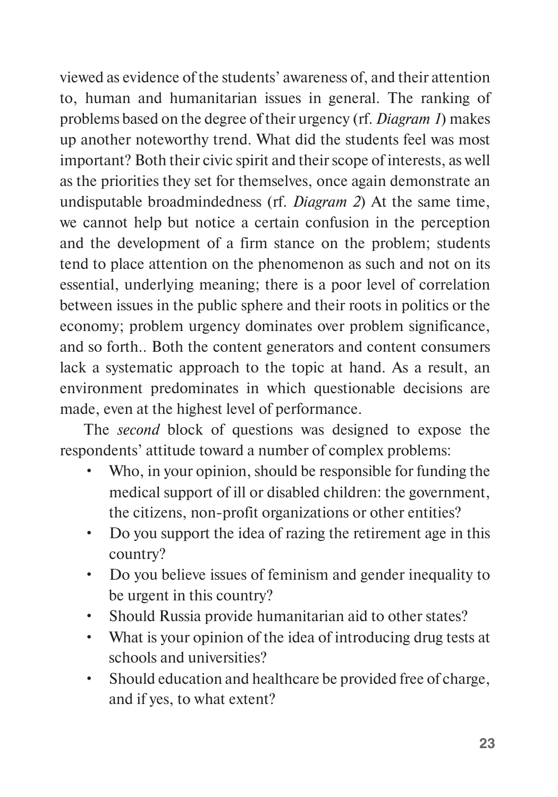viewed as evidence of the students' awareness of, and their attention to, human and humanitarian issues in general. The ranking of problems based on the degree of their urgency (rf. *Diagram 1*) makes up another noteworthy trend. What did the students feel was most important? Both their civic spirit and their scope of interests, as well as the priorities they set for themselves, once again demonstrate an undisputable broadmindedness (rf. *Diagram 2*) At the same time, we cannot help but notice a certain confusion in the perception and the development of a firm stance on the problem; students tend to place attention on the phenomenon as such and not on its essential, underlying meaning; there is a poor level of correlation between issues in the public sphere and their roots in politics or the economy; problem urgency dominates over problem significance, and so forth.. Both the content generators and content consumers lack a systematic approach to the topic at hand. As a result, an environment predominates in which questionable decisions are made, even at the highest level of performance.

The *second* block of questions was designed to expose the respondents' attitude toward a number of complex problems:

- Who, in your opinion, should be responsible for funding the medical support of ill or disabled children: the government, the citizens, non-profit organizations or other entities?
- Do you support the idea of razing the retirement age in this country?
- Do you believe issues of feminism and gender inequality to be urgent in this country?
- Should Russia provide humanitarian aid to other states?
- What is your opinion of the idea of introducing drug tests at schools and universities?
- Should education and healthcare be provided free of charge, and if yes, to what extent?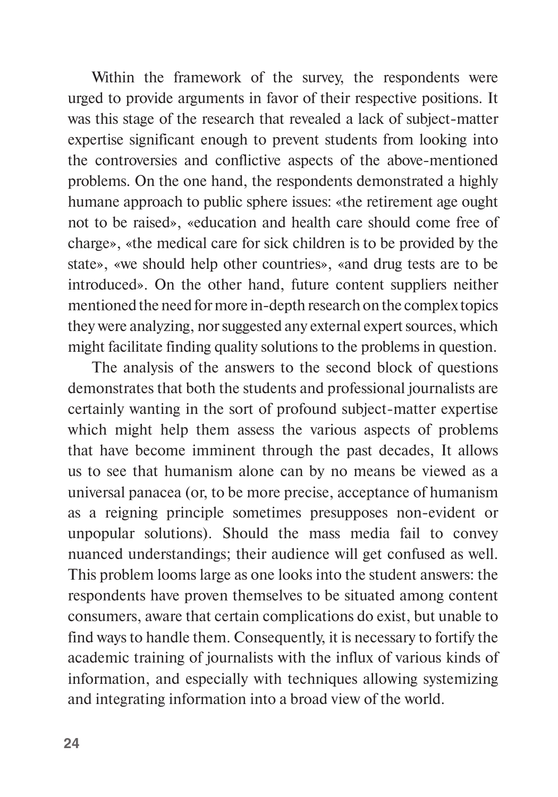Within the framework of the survey, the respondents were urged to provide arguments in favor of their respective positions. It was this stage of the research that revealed a lack of subject-matter expertise significant enough to prevent students from looking into the controversies and conflictive aspects of the above-mentioned problems. On the one hand, the respondents demonstrated a highly humane approach to public sphere issues: «the retirement age ought not to be raised», «education and health care should come free of charge», «the medical care for sick children is to be provided by the state», «we should help other countries», «and drug tests are to be introduced». On the other hand, future content suppliers neither mentioned the need for more in-depth research on the complex topics they were analyzing, nor suggested any external expert sources, which might facilitate finding quality solutions to the problems in question.

The analysis of the answers to the second block of questions demonstrates that both the students and professional journalists are certainly wanting in the sort of profound subject-matter expertise which might help them assess the various aspects of problems that have become imminent through the past decades, It allows us to see that humanism alone can by no means be viewed as a universal panacea (or, to be more precise, acceptance of humanism as a reigning principle sometimes presupposes non-evident or unpopular solutions). Should the mass media fail to convey nuanced understandings; their audience will get confused as well. This problem looms large as one looks into the student answers: the respondents have proven themselves to be situated among content consumers, aware that certain complications do exist, but unable to find ways to handle them. Consequently, it is necessary to fortify the academic training of journalists with the influx of various kinds of information, and especially with techniques allowing systemizing and integrating information into a broad view of the world.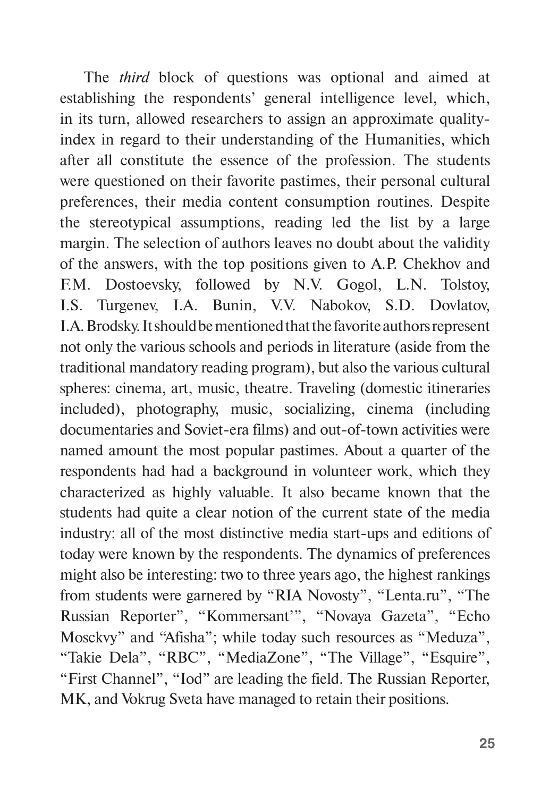The *third* block of questions was optional and aimed at establishing the respondents' general intelligence level, which, in its turn, allowed researchers to assign an approximate qualityindex in regard to their understanding of the Humanities, which after all constitute the essence of the profession. The students were questioned on their favorite pastimes, their personal cultural preferences, their media content consumption routines. Despite the stereotypical assumptions, reading led the list by a large margin. The selection of authors leaves no doubt about the validity of the answers, with the top positions given to A.P. Chekhov and F.M. Dostoevsky, followed by N.V. Gogol, L.N. Tolstoy, I.S. Turgenev, I.A. Bunin, V.V. Nabokov, S.D. Dovlatov, I.A. Brodsky. It should be mentioned that the favorite authors represent not only the various schools and periods in literature (aside from the traditional mandatory reading program), but also the various cultural spheres: cinema, art, music, theatre. Traveling (domestic itineraries included), photography, music, socializing, cinema (including documentaries and Soviet-era films) and out-of-town activities were named amount the most popular pastimes. About a quarter of the respondents had had a background in volunteer work, which they characterized as highly valuable. It also became known that the students had quite a clear notion of the current state of the media industry: all of the most distinctive media start-ups and editions of today were known by the respondents. The dynamics of preferences might also be interesting: two to three years ago, the highest rankings from students were garnered by "RIA Novosty", "Lenta.ru", "The Russian Reporter", "Kommersant'", "Novaya Gazeta", "Echo Mosckvy" and "Afisha"; while today such resources as "Meduza", "Takie Dela", "RBC", "MediaZone", "The Village", "Esquire", "First Channel", "Iod" are leading the field. The Russian Reporter, MK, and Vokrug Sveta have managed to retain their positions.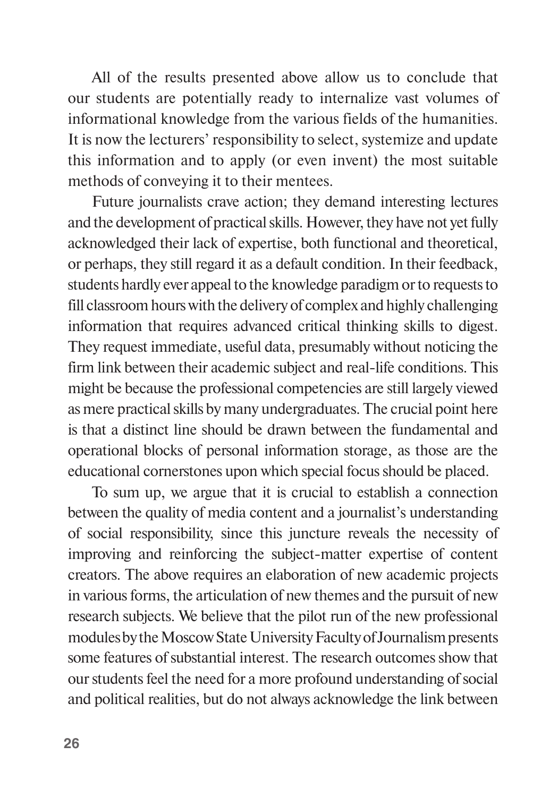All of the results presented above allow us to conclude that our students are potentially ready to internalize vast volumes of informational knowledge from the various fields of the humanities. It is now the lecturers' responsibility to select, systemize and update this information and to apply (or even invent) the most suitable methods of conveying it to their mentees.

Future journalists crave action; they demand interesting lectures and the development of practical skills. However, they have not yet fully acknowledged their lack of expertise, both functional and theoretical, or perhaps, they still regard it as a default condition. In their feedback, students hardly ever appeal to the knowledge paradigm or to requests to fill classroom hours with the delivery of complex and highly challenging information that requires advanced critical thinking skills to digest. They request immediate, useful data, presumably without noticing the firm link between their academic subject and real-life conditions. This might be because the professional competencies are still largely viewed as mere practical skills by many undergraduates. The crucial point here is that a distinct line should be drawn between the fundamental and operational blocks of personal information storage, as those are the educational cornerstones upon which special focus should be placed.

To sum up, we argue that it is crucial to establish a connection between the quality of media content and a journalist's understanding of social responsibility, since this juncture reveals the necessity of improving and reinforcing the subject-matter expertise of content creators. The above requires an elaboration of new academic projects in various forms, the articulation of new themes and the pursuit of new research subjects. We believe that the pilot run of the new professional modules by the Moscow State University Faculty of Journalism presents some features of substantial interest. The research outcomes show that our students feel the need for a more profound understanding of social and political realities, but do not always acknowledge the link between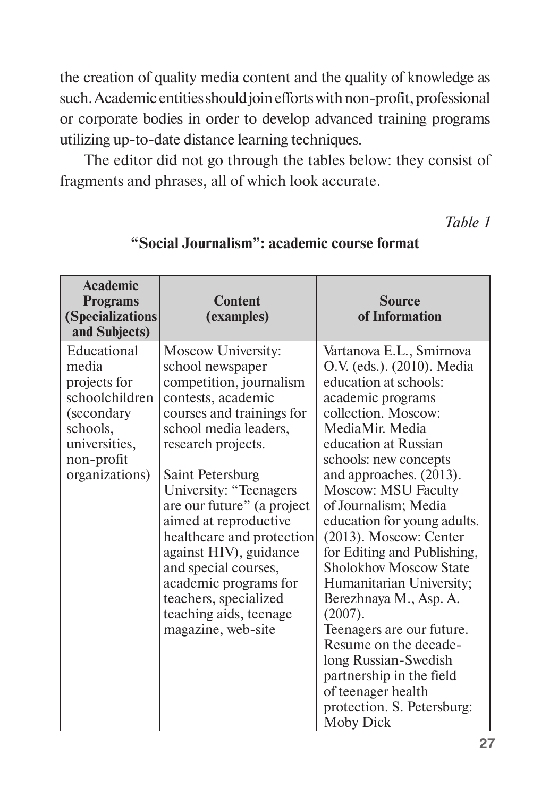the creation of quality media content and the quality of knowledge as such. Academic entities should join efforts with non-profit, professional or corporate bodies in order to develop advanced training programs utilizing up-to-date distance learning techniques.

The editor did not go through the tables below: they consist of fragments and phrases, all of which look accurate.

*Table 1*

| <b>Academic</b><br><b>Programs</b><br>(Specializations<br>and Subjects)                                                            | <b>Content</b><br>(examples)                                                                                                                                                                                                                                                                                                                                                                                                                              | <b>Source</b><br>of Information                                                                                                                                                                                                                                                                                                                                                                                                                                                                                                                                                                                                                       |
|------------------------------------------------------------------------------------------------------------------------------------|-----------------------------------------------------------------------------------------------------------------------------------------------------------------------------------------------------------------------------------------------------------------------------------------------------------------------------------------------------------------------------------------------------------------------------------------------------------|-------------------------------------------------------------------------------------------------------------------------------------------------------------------------------------------------------------------------------------------------------------------------------------------------------------------------------------------------------------------------------------------------------------------------------------------------------------------------------------------------------------------------------------------------------------------------------------------------------------------------------------------------------|
| Educational<br>media<br>projects for<br>schoolchildren<br>(secondary)<br>schools,<br>universities,<br>non-profit<br>organizations) | Moscow University:<br>school newspaper<br>competition, journalism<br>contests, academic<br>courses and trainings for<br>school media leaders,<br>research projects.<br>Saint Petersburg<br>University: "Teenagers<br>are our future" (a project<br>aimed at reproductive<br>healthcare and protection<br>against HIV), guidance<br>and special courses,<br>academic programs for<br>teachers, specialized<br>teaching aids, teenage<br>magazine, web-site | Vartanova E.L., Smirnova<br>O.V. (eds.). (2010). Media<br>education at schools:<br>academic programs<br>collection. Moscow:<br>MediaMir. Media<br>education at Russian<br>schools: new concepts<br>and approaches. (2013).<br><b>Moscow: MSU Faculty</b><br>of Journalism; Media<br>education for young adults.<br>(2013). Moscow: Center<br>for Editing and Publishing,<br><b>Sholokhov Moscow State</b><br>Humanitarian University;<br>Berezhnaya M., Asp. A.<br>(2007).<br>Teenagers are our future.<br>Resume on the decade-<br>long Russian-Swedish<br>partnership in the field<br>of teenager health<br>protection. S. Petersburg:<br>Moby Dick |

#### **"Social Journalism": academic course format**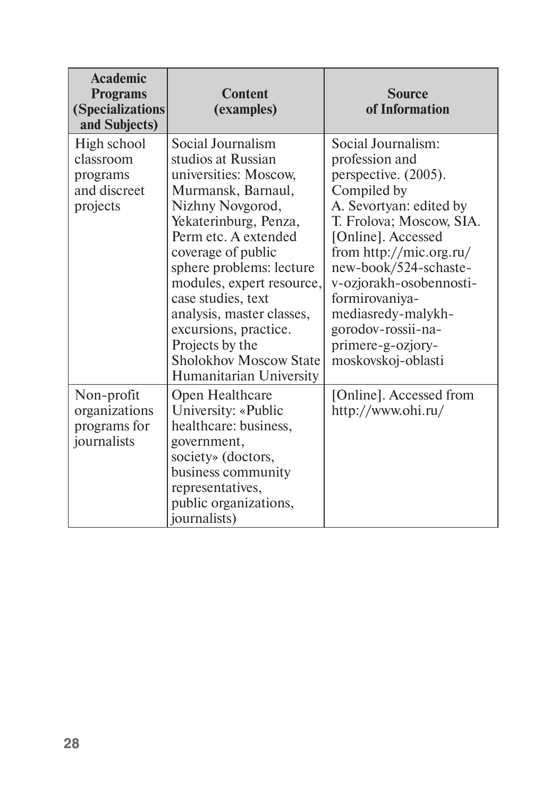| <b>Academic</b><br><b>Programs</b><br>(Specializations<br>and Subjects) | <b>Content</b><br>(examples)                                                                                                                                                                                                                                                                                                                                                                          | <b>Source</b><br>of Information                                                                                                                                                                                                                                                                                                                  |
|-------------------------------------------------------------------------|-------------------------------------------------------------------------------------------------------------------------------------------------------------------------------------------------------------------------------------------------------------------------------------------------------------------------------------------------------------------------------------------------------|--------------------------------------------------------------------------------------------------------------------------------------------------------------------------------------------------------------------------------------------------------------------------------------------------------------------------------------------------|
| High school<br>classroom<br>programs<br>and discreet<br>projects        | Social Journalism<br>studios at Russian<br>universities: Moscow,<br>Murmansk, Barnaul,<br>Nizhny Novgorod,<br>Yekaterinburg, Penza,<br>Perm etc. A extended<br>coverage of public<br>sphere problems: lecture<br>modules, expert resource,<br>case studies, text<br>analysis, master classes,<br>excursions, practice.<br>Projects by the<br><b>Sholokhov Moscow State</b><br>Humanitarian University | Social Journalism:<br>profession and<br>perspective. (2005).<br>Compiled by<br>A. Sevortyan: edited by<br>T. Frolova; Moscow, SIA.<br>[Online]. Accessed<br>from http://mic.org.ru/<br>new-book/524-schaste-<br>v-ozjorakh-osobennosti-<br>formirovaniya-<br>mediasredy-malykh-<br>gorodov-rossii-na-<br>primere-g-ozjory-<br>moskovskoj-oblasti |
| Non-profit<br>organizations<br>programs for<br>journalists              | Open Healthcare<br>University: «Public<br>healthcare: business,<br>government,<br>society» (doctors,<br>business community<br>representatives,<br>public organizations,<br><i>iournalists</i> )                                                                                                                                                                                                       | [Online]. Accessed from<br>http://www.ohi.ru/                                                                                                                                                                                                                                                                                                    |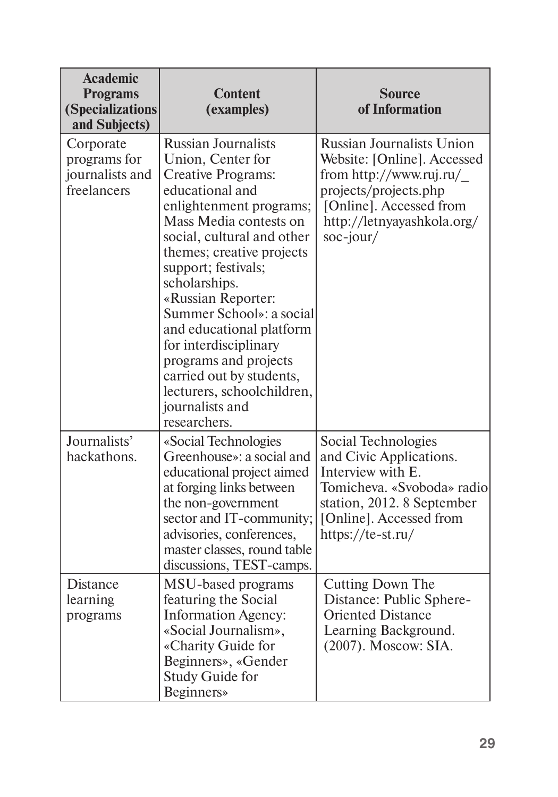| <b>Academic</b><br><b>Programs</b><br>(Specializations<br>and Subjects) | Content<br>(examples)                                                                                                                                                                                                                                                                                                                                                                                                                                                         | <b>Source</b><br>of Information                                                                                                                                                              |
|-------------------------------------------------------------------------|-------------------------------------------------------------------------------------------------------------------------------------------------------------------------------------------------------------------------------------------------------------------------------------------------------------------------------------------------------------------------------------------------------------------------------------------------------------------------------|----------------------------------------------------------------------------------------------------------------------------------------------------------------------------------------------|
| Corporate<br>programs for<br>journalists and<br>freelancers             | <b>Russian Journalists</b><br>Union, Center for<br>Creative Programs:<br>educational and<br>enlightenment programs;<br>Mass Media contests on<br>social, cultural and other<br>themes; creative projects<br>support; festivals;<br>scholarships.<br>«Russian Reporter:<br>Summer School»: a social<br>and educational platform<br>for interdisciplinary<br>programs and projects<br>carried out by students,<br>lecturers, schoolchildren,<br>journalists and<br>researchers. | <b>Russian Journalists Union</b><br>Website: [Online]. Accessed<br>from http://www.ruj.ru/<br>projects/projects.php<br>[Online]. Accessed from<br>http://letnyayashkola.org/<br>$soc$ -jour/ |
| Journalists'<br>hackathons.                                             | «Social Technologies<br>Greenhouse»: a social and<br>educational project aimed<br>at forging links between<br>the non-government<br>sector and IT-community;<br>advisories, conferences,<br>master classes, round table<br>discussions, TEST-camps.                                                                                                                                                                                                                           | Social Technologies<br>and Civic Applications.<br>Interview with E.<br>Tomicheva. «Svoboda» radio<br>station, 2012. 8 September<br>[Online]. Accessed from<br>https://te-st.ru/              |
| <b>Distance</b><br>learning<br>programs                                 | MSU-based programs<br>featuring the Social<br><b>Information Agency:</b><br>«Social Journalism»,<br>«Charity Guide for<br>Beginners», «Gender<br>Study Guide for<br><b>Beginners</b>                                                                                                                                                                                                                                                                                          | Cutting Down The<br>Distance: Public Sphere-<br><b>Oriented Distance</b><br>Learning Background.<br>(2007). Moscow: SIA.                                                                     |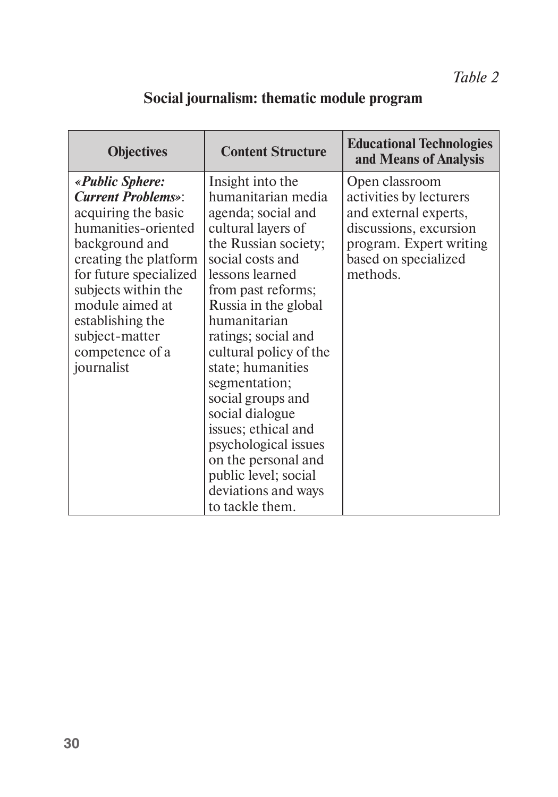# **Social journalism: thematic module program**

| <b>Content Structure</b>                                                                                                                                                                                                                                                                                                                                                                                                                                            | <b>Educational Technologies</b><br>and Means of Analysis                                                                                                    |
|---------------------------------------------------------------------------------------------------------------------------------------------------------------------------------------------------------------------------------------------------------------------------------------------------------------------------------------------------------------------------------------------------------------------------------------------------------------------|-------------------------------------------------------------------------------------------------------------------------------------------------------------|
| Insight into the<br>humanitarian media<br>agenda; social and<br>cultural layers of<br>the Russian society;<br>social costs and<br>lessons learned<br>from past reforms;<br>Russia in the global<br>humanitarian<br>ratings; social and<br>cultural policy of the<br>state; humanities<br>segmentation;<br>social groups and<br>social dialogue<br>issues; ethical and<br>psychological issues<br>on the personal and<br>public level; social<br>deviations and ways | Open classroom<br>activities by lecturers<br>and external experts,<br>discussions, excursion<br>program. Expert writing<br>based on specialized<br>methods. |
|                                                                                                                                                                                                                                                                                                                                                                                                                                                                     | to tackle them.                                                                                                                                             |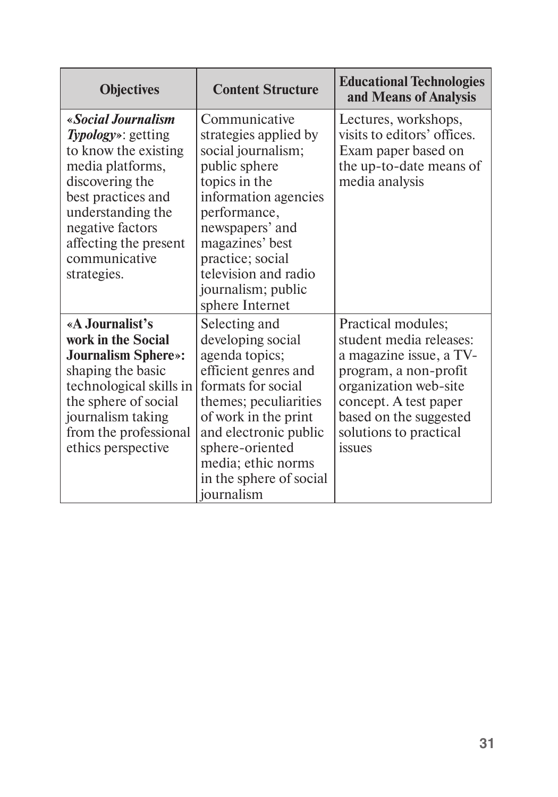| <b>Objectives</b>                                                                                                                                                                                                               | <b>Content Structure</b>                                                                                                                                                                                                                                          | <b>Educational Technologies</b><br>and Means of Analysis                                                                                                                                                          |
|---------------------------------------------------------------------------------------------------------------------------------------------------------------------------------------------------------------------------------|-------------------------------------------------------------------------------------------------------------------------------------------------------------------------------------------------------------------------------------------------------------------|-------------------------------------------------------------------------------------------------------------------------------------------------------------------------------------------------------------------|
| «Social Journalism<br>Typology»: getting<br>to know the existing<br>media platforms,<br>discovering the<br>best practices and<br>understanding the<br>negative factors<br>affecting the present<br>communicative<br>strategies. | Communicative<br>strategies applied by<br>social journalism;<br>public sphere<br>topics in the<br>information agencies<br>performance,<br>newspapers' and<br>magazines' best<br>practice; social<br>television and radio<br>journalism; public<br>sphere Internet | Lectures, workshops,<br>visits to editors' offices.<br>Exam paper based on<br>the up-to-date means of<br>media analysis                                                                                           |
| «A Journalist's<br>work in the Social<br><b>Journalism Sphere»:</b><br>shaping the basic<br>technological skills in<br>the sphere of social<br>journalism taking<br>from the professional<br>ethics perspective                 | Selecting and<br>developing social<br>agenda topics;<br>efficient genres and<br>formats for social<br>themes; peculiarities<br>of work in the print<br>and electronic public<br>sphere-oriented<br>media; ethic norms<br>in the sphere of social<br>iournalism    | Practical modules;<br>student media releases:<br>a magazine issue, a TV-<br>program, a non-profit<br>organization web-site<br>concept. A test paper<br>based on the suggested<br>solutions to practical<br>issues |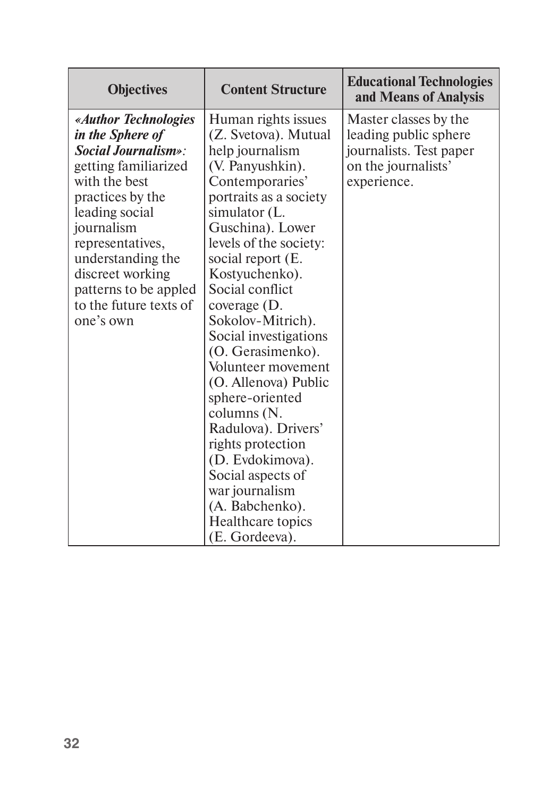| <b>Objectives</b>                                                                                                                                                                                                                                                                                 | <b>Content Structure</b>                                                                                                                                                                                                                                                                                                                                                                                                                                                                                                                                                                         | <b>Educational Technologies</b><br>and Means of Analysis                                                        |
|---------------------------------------------------------------------------------------------------------------------------------------------------------------------------------------------------------------------------------------------------------------------------------------------------|--------------------------------------------------------------------------------------------------------------------------------------------------------------------------------------------------------------------------------------------------------------------------------------------------------------------------------------------------------------------------------------------------------------------------------------------------------------------------------------------------------------------------------------------------------------------------------------------------|-----------------------------------------------------------------------------------------------------------------|
| «Author Technologies<br>in the Sphere of<br><i>Social Journalism»</i> :<br>getting familiarized<br>with the best<br>practices by the<br>leading social<br>journalism<br>representatives,<br>understanding the<br>discreet working<br>patterns to be appled<br>to the future texts of<br>one's own | Human rights issues<br>(Z. Svetova). Mutual<br>help journalism<br>(V. Panyushkin).<br>Contemporaries'<br>portraits as a society<br>simulator (L.<br>Guschina). Lower<br>levels of the society:<br>social report (E.<br>Kostyuchenko).<br>Social conflict<br>coverage $(D)$ .<br>Sokolov-Mitrich).<br>Social investigations<br>(O. Gerasimenko).<br>Volunteer movement<br>(O. Allenova) Public<br>sphere-oriented<br>columns (N.<br>Radulova). Drivers'<br>rights protection<br>(D. Evdokimova).<br>Social aspects of<br>war journalism<br>(A. Babchenko).<br>Healthcare topics<br>(E. Gordeeva). | Master classes by the<br>leading public sphere<br>journalists. Test paper<br>on the journalists'<br>experience. |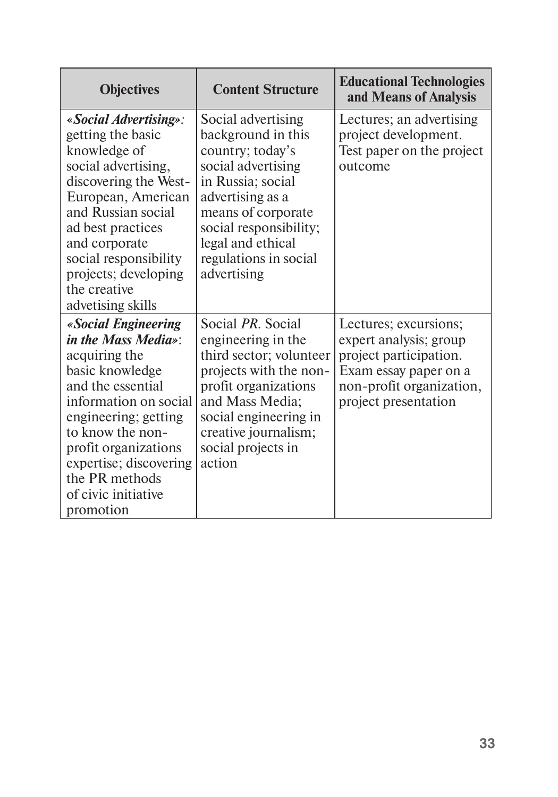| <b>Objectives</b>                                                                                                                                                                                                                                                                  | <b>Content Structure</b>                                                                                                                                                                                                                 | <b>Educational Technologies</b><br>and Means of Analysis                                                                                               |
|------------------------------------------------------------------------------------------------------------------------------------------------------------------------------------------------------------------------------------------------------------------------------------|------------------------------------------------------------------------------------------------------------------------------------------------------------------------------------------------------------------------------------------|--------------------------------------------------------------------------------------------------------------------------------------------------------|
| «Social Advertising»:<br>getting the basic<br>knowledge of<br>social advertising,<br>discovering the West-<br>European, American<br>and Russian social<br>ad best practices<br>and corporate<br>social responsibility<br>projects; developing<br>the creative<br>advetising skills | Social advertising<br>background in this<br>country; today's<br>social advertising<br>in Russia; social<br>advertising as a<br>means of corporate<br>social responsibility;<br>legal and ethical<br>regulations in social<br>advertising | Lectures; an advertising<br>project development.<br>Test paper on the project<br>outcome                                                               |
| «Social Engineering<br>in the Mass Media»:<br>acquiring the<br>basic knowledge<br>and the essential<br>information on social<br>engineering; getting<br>to know the non-<br>profit organizations<br>expertise; discovering<br>the PR methods<br>of civic initiative<br>promotion   | Social <i>PR</i> . Social<br>engineering in the<br>third sector; volunteer<br>projects with the non-<br>profit organizations<br>and Mass Media;<br>social engineering in<br>creative journalism;<br>social projects in<br>action         | Lectures; excursions;<br>expert analysis; group<br>project participation.<br>Exam essay paper on a<br>non-profit organization,<br>project presentation |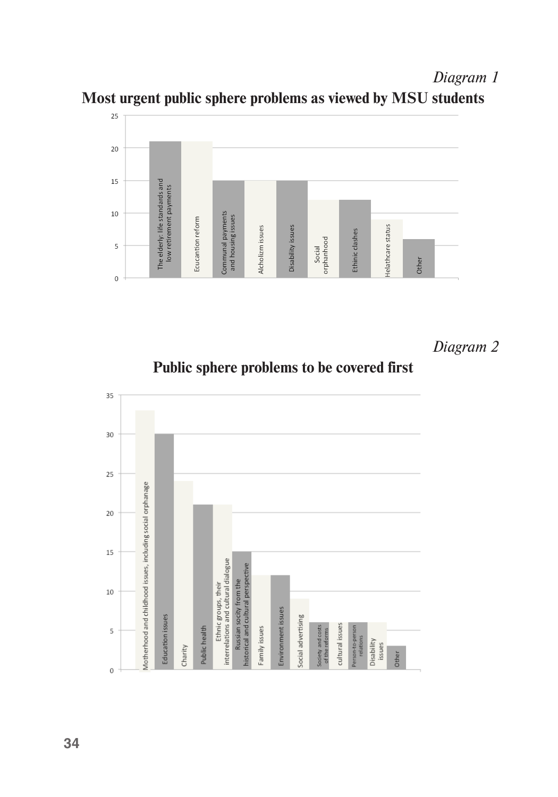*Diagram 1* **Most urgent public sphere problems as viewed by MSU students**



*Diagram 2* 

**Public sphere problems to be covered first** 

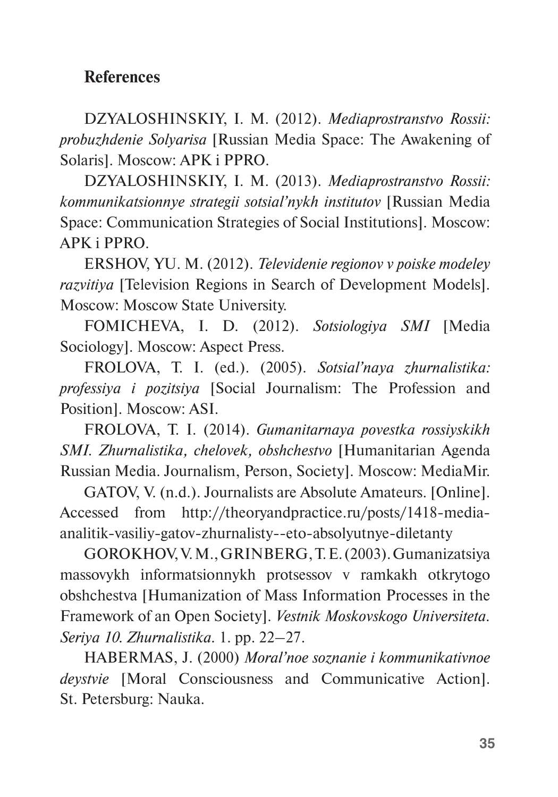### **References**

DZYALOSHINSKIY, I. M. (2012). *Mediaprostranstvo Rossii: probuzhdenie Solyarisa* [Russian Media Space: The Awakening of Solaris]. Moscow: APK i PPRO.

DZYALOSHINSKIY, I. M. (2013). *Mediaprostranstvo Rossii: kommunikatsionnye strategii sotsial'nykh institutov* [Russian Media Space: Communication Strategies of Social Institutions]. Moscow: APK i PPRO.

ERSHOV, YU. M. (2012). *Televidenie regionov v poiske modeley razvitiya* [Television Regions in Search of Development Models]. Moscow: Moscow State University.

FOMICHEVA, I. D*.* (2012). *Sotsiologiya SMI* [Media Sociology]. Moscow: Aspect Press.

FROLOVA, T. I. (ed.). (2005). *Sotsial'naya zhurnalistika: professiya i pozitsiya* [Social Journalism: The Profession and Position]. Moscow: ASI.

FROLOVA, T. I. (2014). *Gumanitarnaya povestka rossiyskikh SMI. Zhurnalistika, chelovek, obshchestvo* [Humanitarian Agenda Russian Media. Journalism, Person, Society]. Moscow: MediaMir.

GATOV, V. (n.d.). Journalists are Absolute Amateurs. [Online]. Accessed from [http://theoryandpractice.ru/posts/1418-media](http://theoryandpractice.ru/posts/1418-media-analitik-vasiliy-gatov-zhurnalisty--eto-absolyutnye-diletanty)[analitik-vasiliy-gatov-zhurnalisty--eto-absolyutnye-diletanty](http://theoryandpractice.ru/posts/1418-media-analitik-vasiliy-gatov-zhurnalisty--eto-absolyutnye-diletanty)

GOROKHOV, V. M., GRINBERG, T. E. (2003). Gumanizatsiya massovykh informatsionnykh protsessov v ramkakh otkrytogo obshchestva [Humanization of Mass Information Processes in the Framework of an Open Society]. *Vestnik Moskovskogo Universiteta. Seriya 10. Zhurnalistika.* 1. pp. 22–27.

HABERMAS, J. (2000) *Moral'noe soznanie i kommunikativnoe deystvie* [Moral Consciousness and Communicative Action]. St. Petersburg: Nauka.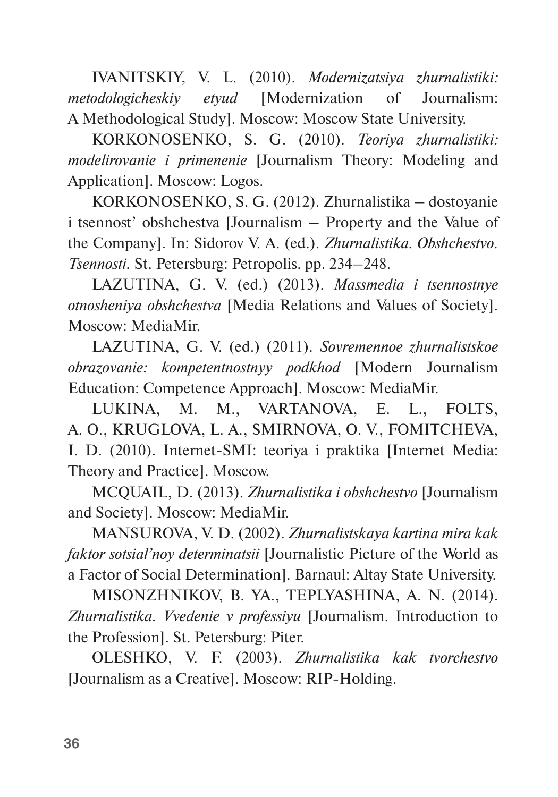IVANITSKIY, V. L. (2010). *Modernizatsiya zhurnalistiki: metodologicheskiy etyud* [Modernization of Journalism: A Methodological Study]. Moscow: Moscow State University.

KORKONOSENKO, S. G. (2010). *Teoriya zhurnalistiki: modelirovanie i primenenie* [Journalism Theory: Modeling and Application]. Moscow: Logos.

KORKONOSENKO, S. G. (2012). Zhurnalistika – dostoyanie i tsennost' obshchestva [Journalism – Property and the Value of the Company]. In: Sidorov V. A. (ed.). *Zhurnalistika. Obshchestvo. Tsennosti.* St. Petersburg: Petropolis. pp. 234–248.

LAZUTINA, G. V. (ed.) (2013). *Massmedia i tsennostnye otnosheniya obshchestva* [Media Relations and Values of Society]. Moscow: MediaMir.

LAZUTINA, G. V. (ed.) (2011). *Sovremennoe zhurnalistskoe obrazovanie: kompetentnostnyy podkhod* [Modern Journalism Education: Competence Approach]. Moscow: MediaMir.

LUKINA, M. M., VARTANOVA, E. L., FOLTS, A. O., KRUGLOVA, L. A., SMIRNOVA, O. V., FOMITCHEVA, I. D. (2010). Internet-SMI: teoriya i praktika [Internet Media: Theory and Practice]. Moscow.

MCQUAIL, D. (2013). *Zhurnalistika i obshchestvo* [Journalism and Society]. Moscow: MediaMir.

MANSUROVA, V. D. (2002). *Zhurnalistskaya kartina mira kak faktor sotsial'noy determinatsii* [Journalistic Picture of the World as a Factor of Social Determination]. Barnaul: Altay State University.

MISONZHNIKOV, B. YA., TEPLYASHINA, A. N. (2014). *Zhurnalistika. Vvedenie v professiyu* [Journalism. Introduction to the Profession]. St. Petersburg: Piter.

OLESHKO, V. F. (2003). *Zhurnalistika kak tvorchestvo* [Journalism as a Creative]. Moscow: RIP-Holding.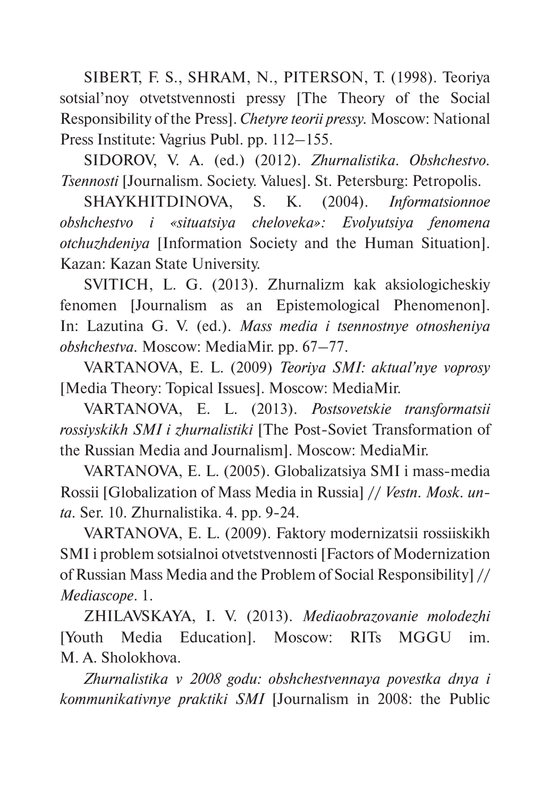SIBERT, F. S., SHRAM, N., PITERSON, T. (1998). Teoriya sotsial'noy otvetstvennosti pressy [The Theory of the Social Responsibility of the Press]. *Chetyre teorii pressy.* Moscow: National Press Institute: Vagrius Publ. pp. 112–155.

SIDOROV, V. A. (ed.) (2012). *Zhurnalistika. Obshchestvo. Tsennosti* [Journalism. Society. Values]. St. Petersburg: Petropolis.

SHAYKHITDINOVA, S. K. (2004). *Informatsionnoe obshchestvo i «situatsiya cheloveka»: Evolyutsiya fenomena otchuzhdeniya* [Information Society and the Human Situation]. Kazan: Kazan State University.

SVITICH, L. G. (2013). Zhurnalizm kak aksiologicheskiy fenomen [Journalism as an Epistemological Phenomenon]. In: Lazutina G. V. (ed.). *Mass media i tsennostnye otnosheniya obshchestva.* Moscow: MediaMir. pp. 67–77.

VARTANOVA, E. L. (2009) *Teoriya SMI: aktual'nye voprosy* [Media Theory: Topical Issues]. Moscow: MediaMir.

VARTANOVA, E. L. (2013). *Postsovetskie transformatsii rossiyskikh SMI i zhurnalistiki* [The Post-Soviet Transformation of the Russian Media and Journalism]. Moscow: MediaMir.

VARTANOVA, E. L. (2005). Globalizatsiya SMI i mass-media Rossii [Globalization of Mass Media in Russia] // *Vestn. Mosk. unta.* Ser. 10. Zhurnalistika. 4. pp. 9-24.

VARTANOVA, E. L. (2009). Faktory modernizatsii rossiiskikh SMI i problem sotsialnoi otvetstvennosti [Factors of Modernization of Russian Mass Media and the Problem of Social Responsibility] // *Mediascope*. 1.

ZHILAVSKAYA, I. V. (2013). *Mediaobrazovanie molodezhi* [Youth Media Education]. Moscow: RITs MGGU im. M. A. Sholokhova.

*Zhurnalistika v 2008 godu: obshchestvennaya povestka dnya i kommunikativnye praktiki SMI* [Journalism in 2008: the Public